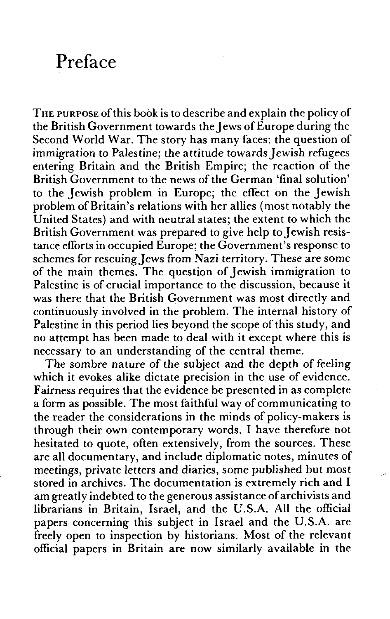# **Preface**

THE PURPOSE of this book is to describe and explain the policy of the British Government towards the Jews of Europe during the Second World War. The story has many faces: the question of immigration to Palestine; the attitude towards Jewish refugees entering Britain and the British Empire; the reaction of the British Government to the news of the German 'final solution' to the Jewish problem in Europe; the effect on the Jewish problem of Britain's relations with her allies (most notably the United States) and with neutral states; the extent to which the British Government was prepared to give help to Jewish resistance efforts in occupied Europe; the Government's response to schemes for rescuing Jews from Nazi territory. These are some of the main themes. The question of Jewish immigration to Palestine is of crucial importance to the discussion, because it was there that the British Government was most directly and continuously involved in the problem. The internal history of Palestine in this period lies beyond the scope of this study, and no attempt has been made to deal with it except where this is necessary to an understanding of the central theme.

The sombre nature of the subject and the depth of feeling which it evokes alike dictate precision in the use of evidence. Fairness requires that the evidence be presented in as complete a form as possible. The most faithful way of communicating to the reader the considerations in the minds of policy-makers is through their own contemporary words. I have therefore not hesitated to quote, often extensively, from the sources. These are all documentary, and include diplomatic notes, minutes of meetings, private letters and diaries, some published but most stored in archives. The documentation is extremely rich and I am greatly indebted to the generous assistance of archivists and librarians in Britain, Israel, and the U.S.A. All the official papers concerning this subject in Israel and the U.S.A. are freely open to inspection by historians. Most of the relevant official papers in Britain are now similarly available in the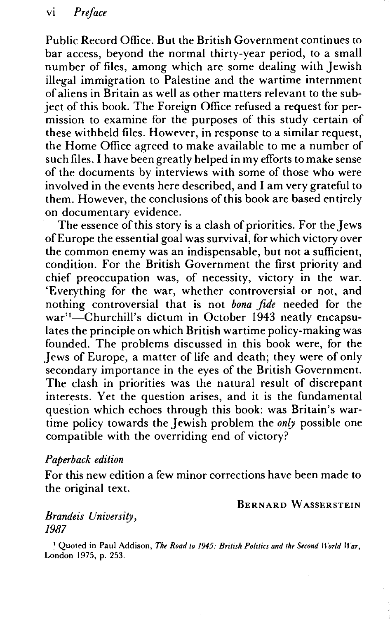Public Record Office. But the British Government continues to bar access, beyond the normal thirty-year period, to a small number of files, among which are some dealing with Jewish illegal immigration to Palestine and the wartime internment of aliens in Britain as well as other matters relevant to the subject of this book. The Foreign Office refused a request for permission to examine for the purposes of this study certain of these withheld files. However, in response to a similar request, the Home Office agreed to make available to me a number of such files. I have been greatly helped in my efforts to make sense of the documents by interviews with some of those who were involved in the events here described, and I am very grateful to them. However, the conclusions of this book are based entirely on documentary evidence.

The essence of this story is a clash of priorities. For the Jews of Europe the essential goal was survival, for which victory over the common enemy was an indispensable, but not a sufficient, condition. For the British Government the first priority and chief preoccupation was, of necessity, victory in the war. 'Everything for the war, whether controversial or not, and nothing controversial that is not *bona fide* needed for the war'1— Churchill's dictum in October 1943 neatly encapsulates the principle on which British wartime policy-making was founded. The problems discussed in this book were, for the Jews of Europe, a matter of life and death; they were of only secondary importance in the eyes of the British Government. The clash in priorities was the natural result of discrepant interests. Yet the question arises, and it is the fundamental question which echoes through this book: was Britain's wartime policy towards the Jewish problem the *only* possible one compatible with the overriding end of victory?

#### *Paperback edition*

For this new edition a few minor corrections have been made to the original text.

BERNARD WASSERSTEIN

#### *Brandeis University, 1987*

1 Quoted in Paul Addison, *The Road to 1945: British Politics and the Second World War,* London 1975, p. 253.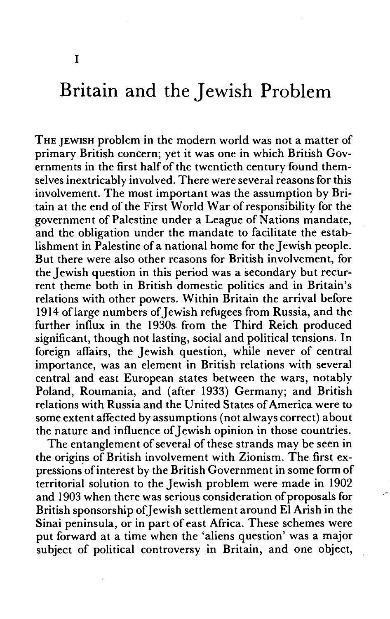# **Britain and the Jewish Problem**

THE JEWISH problem in the modern world was not a matter of primary British concern; yet it was one in which British Governments in the first half of the twentieth century found themselves inextricably involved. There were several reasons for this involvement. The most important was the assumption by Britain at the end of the First World War of responsibility for the government of Palestine under a League of Nations mandate, and the obligation under the mandate to facilitate the establishment in Palestine of a national home for the Jewish people. But there were also other reasons for British involvement, for the Jewish question in this period was a secondary but recurrent theme both in British domestic politics and in Britain's relations with other powers. Within Britain the arrival before 1914 of large numbers of Jewish refugees from Russia, and the further influx in the 1930s from the Third Reich produced significant, though not lasting, social and political tensions. In foreign affairs, the Jewish question, while never of central importance, was an element in British relations with several central and east European states between the wars, notably Poland, Roumania, and (after 1933) Germany; and British relations with Russia and the United States of America were to some extent affected by assumptions (not always correct) about the nature and influence of Jewish opinion in those countries.

The entanglement of several of these strands may be seen in the origins of British involvement with Zionism. The first expressions of interest by the British Government in some form of territorial solution to the Jewish problem were made in 1902 and 1903 when there was serious consideration of proposals for British sponsorship of Jewish settlement around El Arish in the Sinai peninsula, or in part of east Africa. These schemes were put forward at a time when the 'aliens question' was a major subject of political controversy in Britain, and one object,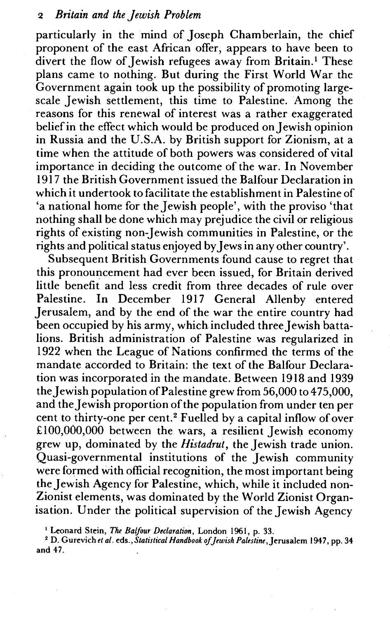particularly in the mind of Joseph Chamberlain, the chief proponent of the east African offer, appears to have been to divert the flow of Jewish refugees away from Britain.<sup>1</sup> These plans came to nothing. But during the First World War the Government again took up the possibility of promoting largescale Jewish settlement, this time to Palestine. Among the reasons for this renewal of interest was a rather exaggerated belief in the effect which would be produced on Jewish opinion in Russia and the U.S.A. by British support for Zionism, at a time when the attitude of both powers was considered of vital importance in deciding the outcome of the war. In November 1917 the British Government issued the Balfour Declaration in which it undertook to facilitate the establishment in Palestine of 'a national home for the Jewish people', with the proviso 'that nothing shall be done which may prejudice the civil or religious rights of existing non-Jewish communities in Palestine, or the rights and political status enjoyed by Jews in any other country'.

Subsequent British Governments found cause to regret that this pronouncement had ever been issued, for Britain derived little benefit and less credit from three decades of rule over Palestine. In December 1917 General Allenby entered Jerusalem, and by the end of the war the entire country had been occupied by his army, which included three Jewish battalions. British administration of Palestine was regularized in 1922 when the League of Nations confirmed the terms of the mandate accorded to Britain: the text of the Balfour Declaration was incorporated in the mandate. Between 1918 and 1939 the Jewish population of Palestine grew from 56,000 to 475,000, and the Jewish proportion of the population from under ten per cent to thirty-one per cent.2 Fuelled by a capital inflow of over £100,000,000 between the wars, a resilient Jewish economy grew up, dominated by the *Histadrut,* the Jewish trade union. Quasi-governmental institutions of the Jewish community were formed with official recognition, the most important being the Jewish Agency for Palestine, which, while it included non-Zionist elements, was dominated by the World Zionist Organisation. Under the political supervision of the Jewish Agency

<sup>1</sup> Leonard Stein, *The Balfour Declaration*, London 1961, p. 33.

<sup>&</sup>lt;sup>2</sup> D. Gurevich et al. eds., Statistical Handbook of Jewish Palestine, Jerusalem 1947, pp. 34 and 47.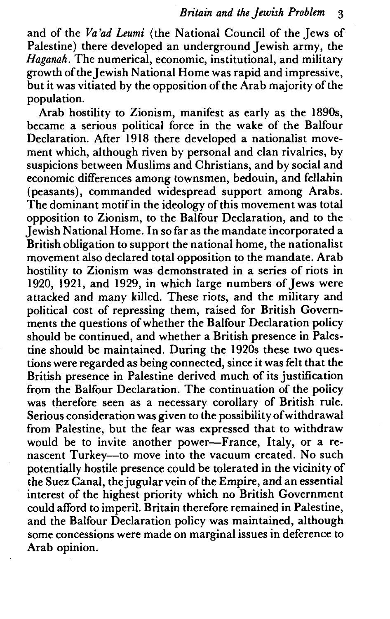and of the *Va 'ad Leumi* (the National Council of the Jews of Palestine) there developed an underground Jewish army, the *Haganah.* The numerical, economic, institutional, and military growth of the Jewish National Home was rapid and impressive, but it was vitiated by the opposition of the Arab majority of the population.

Arab hostility to Zionism, manifest as early as the 1890s, became a serious political force in the wake of the Balfour Declaration. After 1918 there developed a nationalist movement which, although riven by personal and clan rivalries, by suspicions between Muslims and Christians, and by social and economic differences among townsmen, bedouin, and fellahin (peasants), commanded widespread support among Arabs. The dominant motif in the ideology of this movement was total opposition to Zionism, to the Balfour Declaration, and to the Jewish National Home. In so far as the mandate incorporated a British obligation to support the national home, the nationalist movement also declared total opposition to the mandate. Arab hostility to Zionism was demonstrated in a series of riots in 1920,  $1921$ , and 1929, in which large numbers of Jews were attacked and many killed. These riots, and the military and political cost of repressing them, raised for British Governments the questions of whether the Balfour Declaration policy should be continued, and whether a British presence in Palestine should be maintained. During the 1920s these two questions were regarded as being connected, since it was felt that the British presence in Palestine derived much of its justification from the Balfour Declaration. The continuation of the policy was therefore seen as a necessary corollary of British rule. Serious consideration was given to the possibility of withdrawal from Palestine, but the fear was expressed that to withdraw would be to invite another power— France, Italy, or a renascent Turkey—to move into the vacuum created. No such potentially hostile presence could be tolerated in the vicinity of the Suez Canal, the jugular vein of the Empire, and an essential interest of the highest priority which no British Government could afford to imperil. Britain therefore remained in Palestine, and the Balfour Declaration policy was maintained, although some concessions were made on marginal issues in deference to Arab opinion.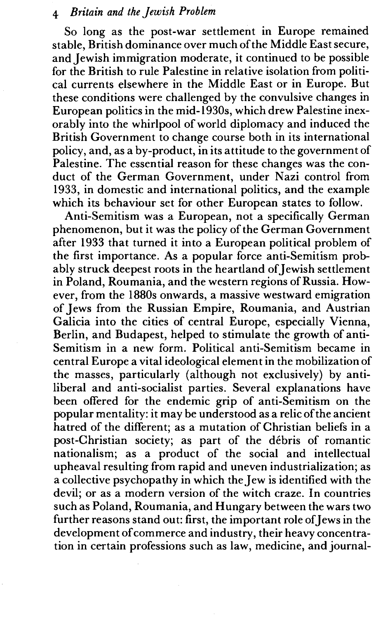## 4 *Britain and the Jewish Problem*

So long as the post-war settlement in Europe remained stable, British dominance over much of the Middle East secure, and Jewish immigration moderate, it continued to be possible for the British to rule Palestine in relative isolation from political currents elsewhere in the Middle East or in Europe. But these conditions were challenged by the convulsive changes in European politics in the mid-1980s, which drew Palestine inexorably into the whirlpool of world diplomacy and induced the British Government to change course both in its international policy, and, as a by-product, in its attitude to the government of Palestine. The essential reason for these changes was the conduct of the German Government, under Nazi control from 1933, in domestic and international politics, and the example which its behaviour set for other European states to follow.

Anti-Semitism was a European, not a specifically German phenomenon, but it was the policy of the German Government after 1933 that turned it into a European political problem of the first importance. As a popular force anti-Semitism probably struck deepest roots in the heartland of Jewish settlement in Poland, Roumania, and the western regions of Russia. However, from the 1880s onwards, a massive westward emigration of Jews from the Russian Empire, Roumania, and Austrian Galicia into the cities of central Europe, especially Vienna, Berlin, and Budapest, helped to stimulate the growth of anti-Semitism in a new form. Political anti-Semitism became in central Europe a vital ideological element in the mobilization of the masses, particularly (although not exclusively) by antiliberal and anti-socialist parties. Several explanations have been offered for the endemic grip of anti-Semitism on the popular mentality: it may be understood as a relic of the ancient hatred of the different; as a mutation of Christian beliefs in a post-Christian society; as part of the débris of romantic nationalism; as a product of the social and intellectual upheaval resulting from rapid and uneven industrialization; as a collective psychopathy in which the Jew is identified with the devil; or as a modern version of the witch craze. In countries such as Poland, Roumania, and Hungary between the wars two further reasons stand out: first, the important role of Jews in the development of commerce and industry, their heavy concentration in certain professions such as law, medicine, and journal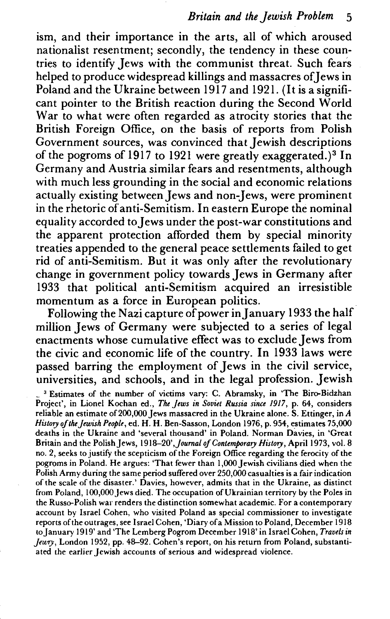ism, and their importance in the arts, all of which aroused nationalist resentment; secondly, the tendency in these countries to identify Jews with the communist threat. Such fears helped to produce widespread killings and massacres of Jews in Poland and the Ukraine between 1917 and 1921. (It is a significant pointer to the British reaction during the Second World War to what were often regarded as atrocity stories that the British Foreign Office, on the basis of reports from Polish Government sources, was convinced that Jewish descriptions of the pogroms of 1917 to 1921 were greatly exaggerated.)<sup>3</sup> In Germany and Austria similar fears and resentments, although with much less grounding in the social and economic relations actually existing between Jews and non-Jews, were prominent in the rhetoric of anti-Semitism. In eastern Europe the nominal equality accorded to Jews under the post-war constitutions and the apparent protection afforded them by special minority treaties appended to the general peace settlements failed to get rid of anti-Semitism. But it was only after the revolutionary change in government policy towards Jews in Germany after 1933 that political anti-Semitism acquired an irresistible momentum as a force in European politics.

Following the Nazi capture of power in January 1933 the half million Jews of Germany were subjected to a series of legal enactments whose cumulative effect was to exclude Jews from the civic and economic life of the country. In 1933 laws were passed barring the employment of Jews in the civil service, universities, and schools, and in the legal profession. Jewish

<sup>3</sup> Estimates of the number of victims vary: C. Abramsky, in 'The Biro-Bidzhan Project', in Lionel Kochan ed., *The Jews in Soviet Russia since 1917*, p. 64, considers reliable an estimate of 200,000 Jews massacred in the Ukraine alone. S. Ettinger, in  $A$ *History o f the Jewish People*, ed. H. H. Ben-Sasson, London 1976, p. 954, estimates 75,000 deaths in the Ukraine and 'several thousand' in Poland. Norman Davies, in 'Great Britain and the Polish Jews, 1918-20', *Journal of Contemporary History*, April 1973, vol. 8 no. 2, seeks to justify the scepticism of the Foreign Office regarding the ferocity of the pogroms in Poland. He argues: 'That fewer than 1,000 Jewish civilians died when the Polish Army during the same period suffered over 250,000 casualties is a fair indication of the scale of the disaster.' Davies, however, admits that in the Ukraine, as distinct from Poland, 100,000 Jews died. The occupation of Ukrainian territory by the Poles in the Russo-Polish war renders the distinction somewhat academic. For a contemporary account by Israel Cohen, who visited Poland as special commissioner to investigate reports of the outrages, see Israel Cohen, 'Diary of a Mission to Poland, December 1918 to January 1919' and 'The Lemberg Pogrom December 1918' in Israel Cohen, *Travels in Jew ry*, London 1952, pp. 48-92. Cohen's report, on his return from Poland, substantiated the earlier Jewish accounts of serious and widespread violence.